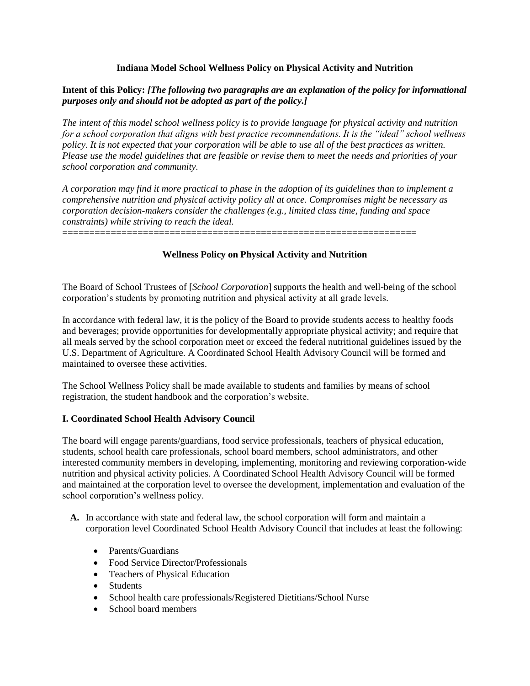## **Indiana Model School Wellness Policy on Physical Activity and Nutrition**

## **Intent of this Policy:** *[The following two paragraphs are an explanation of the policy for informational purposes only and should not be adopted as part of the policy.]*

*The intent of this model school wellness policy is to provide language for physical activity and nutrition for a school corporation that aligns with best practice recommendations. It is the "ideal" school wellness policy. It is not expected that your corporation will be able to use all of the best practices as written. Please use the model guidelines that are feasible or revise them to meet the needs and priorities of your school corporation and community.*

*A corporation may find it more practical to phase in the adoption of its guidelines than to implement a comprehensive nutrition and physical activity policy all at once. Compromises might be necessary as corporation decision-makers consider the challenges (e.g., limited class time, funding and space constraints) while striving to reach the ideal.*

==================================================================

# **Wellness Policy on Physical Activity and Nutrition**

The Board of School Trustees of [*School Corporation*] supports the health and well-being of the school corporation's students by promoting nutrition and physical activity at all grade levels.

In accordance with federal law, it is the policy of the Board to provide students access to healthy foods and beverages; provide opportunities for developmentally appropriate physical activity; and require that all meals served by the school corporation meet or exceed the federal nutritional guidelines issued by the U.S. Department of Agriculture. A Coordinated School Health Advisory Council will be formed and maintained to oversee these activities.

The School Wellness Policy shall be made available to students and families by means of school registration, the student handbook and the corporation's website.

### **I. Coordinated School Health Advisory Council**

The board will engage parents/guardians, food service professionals, teachers of physical education, students, school health care professionals, school board members, school administrators, and other interested community members in developing, implementing, monitoring and reviewing corporation-wide nutrition and physical activity policies. A Coordinated School Health Advisory Council will be formed and maintained at the corporation level to oversee the development, implementation and evaluation of the school corporation's wellness policy.

- **A.** In accordance with state and federal law, the school corporation will form and maintain a corporation level Coordinated School Health Advisory Council that includes at least the following:
	- Parents/Guardians
	- Food Service Director/Professionals
	- Teachers of Physical Education
	- Students
	- School health care professionals/Registered Dietitians/School Nurse
	- School board members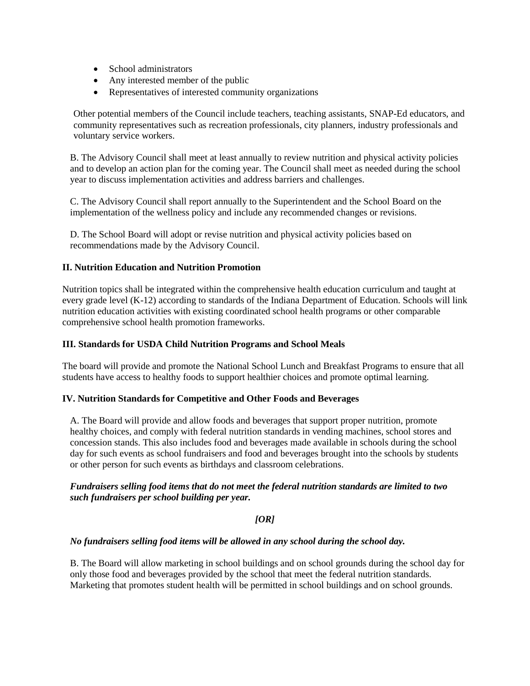- School administrators
- Any interested member of the public
- Representatives of interested community organizations

Other potential members of the Council include teachers, teaching assistants, SNAP-Ed educators, and community representatives such as recreation professionals, city planners, industry professionals and voluntary service workers.

B. The Advisory Council shall meet at least annually to review nutrition and physical activity policies and to develop an action plan for the coming year. The Council shall meet as needed during the school year to discuss implementation activities and address barriers and challenges.

C. The Advisory Council shall report annually to the Superintendent and the School Board on the implementation of the wellness policy and include any recommended changes or revisions.

D. The School Board will adopt or revise nutrition and physical activity policies based on recommendations made by the Advisory Council.

## **II. Nutrition Education and Nutrition Promotion**

Nutrition topics shall be integrated within the comprehensive health education curriculum and taught at every grade level (K-12) according to standards of the Indiana Department of Education. Schools will link nutrition education activities with existing coordinated school health programs or other comparable comprehensive school health promotion frameworks.

### **III. Standards for USDA Child Nutrition Programs and School Meals**

The board will provide and promote the National School Lunch and Breakfast Programs to ensure that all students have access to healthy foods to support healthier choices and promote optimal learning.

### **IV. Nutrition Standards for Competitive and Other Foods and Beverages**

A. The Board will provide and allow foods and beverages that support proper nutrition, promote healthy choices, and comply with federal nutrition standards in vending machines, school stores and concession stands. This also includes food and beverages made available in schools during the school day for such events as school fundraisers and food and beverages brought into the schools by students or other person for such events as birthdays and classroom celebrations.

### *Fundraisers selling food items that do not meet the federal nutrition standards are limited to two such fundraisers per school building per year.*

### *[OR]*

### *No fundraisers selling food items will be allowed in any school during the school day.*

B. The Board will allow marketing in school buildings and on school grounds during the school day for only those food and beverages provided by the school that meet the federal nutrition standards. Marketing that promotes student health will be permitted in school buildings and on school grounds.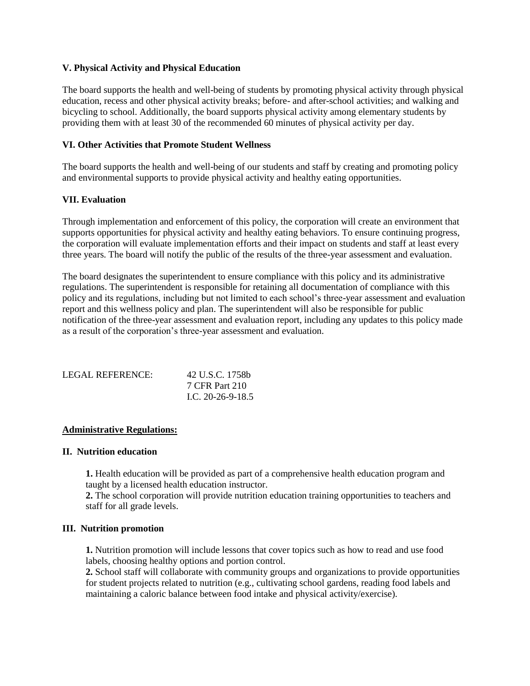### **V. Physical Activity and Physical Education**

The board supports the health and well-being of students by promoting physical activity through physical education, recess and other physical activity breaks; before- and after-school activities; and walking and bicycling to school. Additionally, the board supports physical activity among elementary students by providing them with at least 30 of the recommended 60 minutes of physical activity per day.

### **VI. Other Activities that Promote Student Wellness**

The board supports the health and well-being of our students and staff by creating and promoting policy and environmental supports to provide physical activity and healthy eating opportunities.

#### **VII. Evaluation**

Through implementation and enforcement of this policy, the corporation will create an environment that supports opportunities for physical activity and healthy eating behaviors. To ensure continuing progress, the corporation will evaluate implementation efforts and their impact on students and staff at least every three years. The board will notify the public of the results of the three-year assessment and evaluation.

The board designates the superintendent to ensure compliance with this policy and its administrative regulations. The superintendent is responsible for retaining all documentation of compliance with this policy and its regulations, including but not limited to each school's three-year assessment and evaluation report and this wellness policy and plan. The superintendent will also be responsible for public notification of the three-year assessment and evaluation report, including any updates to this policy made as a result of the corporation's three-year assessment and evaluation.

| LEGAL REFERENCE: | 42 U.S.C. 1758b     |
|------------------|---------------------|
|                  | 7 CFR Part 210      |
|                  | L.C. $20-26-9-18.5$ |

#### **Administrative Regulations:**

#### **II. Nutrition education**

**1.** Health education will be provided as part of a comprehensive health education program and taught by a licensed health education instructor.

**2.** The school corporation will provide nutrition education training opportunities to teachers and staff for all grade levels.

#### **III. Nutrition promotion**

**1.** Nutrition promotion will include lessons that cover topics such as how to read and use food labels, choosing healthy options and portion control.

**2.** School staff will collaborate with community groups and organizations to provide opportunities for student projects related to nutrition (e.g., cultivating school gardens, reading food labels and maintaining a caloric balance between food intake and physical activity/exercise).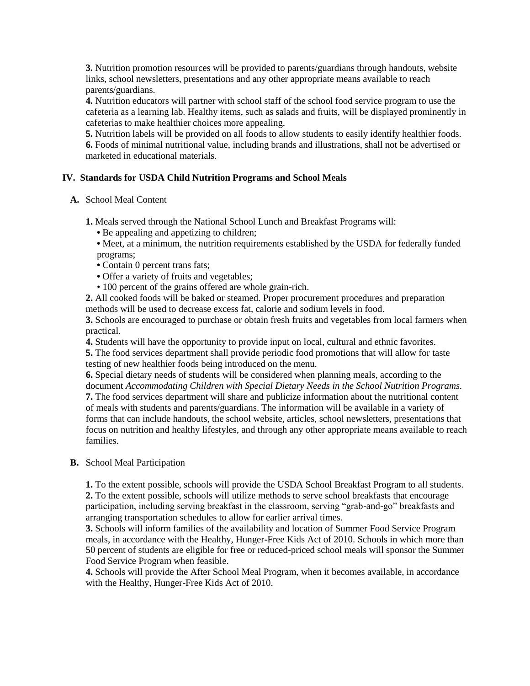**3.** Nutrition promotion resources will be provided to parents/guardians through handouts, website links, school newsletters, presentations and any other appropriate means available to reach parents/guardians.

**4.** Nutrition educators will partner with school staff of the school food service program to use the cafeteria as a learning lab. Healthy items, such as salads and fruits, will be displayed prominently in cafeterias to make healthier choices more appealing.

**5.** Nutrition labels will be provided on all foods to allow students to easily identify healthier foods. **6.** Foods of minimal nutritional value, including brands and illustrations, shall not be advertised or marketed in educational materials.

### **IV. Standards for USDA Child Nutrition Programs and School Meals**

**A.** School Meal Content

**1.** Meals served through the National School Lunch and Breakfast Programs will:

- Be appealing and appetizing to children;
- Meet, at a minimum, the nutrition requirements established by the USDA for federally funded programs;
- Contain 0 percent trans fats;
- Offer a variety of fruits and vegetables;
- 100 percent of the grains offered are whole grain-rich.

**2.** All cooked foods will be baked or steamed. Proper procurement procedures and preparation methods will be used to decrease excess fat, calorie and sodium levels in food.

**3.** Schools are encouraged to purchase or obtain fresh fruits and vegetables from local farmers when practical.

**4.** Students will have the opportunity to provide input on local, cultural and ethnic favorites.

**5.** The food services department shall provide periodic food promotions that will allow for taste testing of new healthier foods being introduced on the menu.

**6.** Special dietary needs of students will be considered when planning meals, according to the document *Accommodating Children with Special Dietary Needs in the School Nutrition Programs.* **7.** The food services department will share and publicize information about the nutritional content of meals with students and parents/guardians. The information will be available in a variety of forms that can include handouts, the school website, articles, school newsletters, presentations that focus on nutrition and healthy lifestyles, and through any other appropriate means available to reach families.

# **B.** School Meal Participation

**1.** To the extent possible, schools will provide the USDA School Breakfast Program to all students. **2.** To the extent possible, schools will utilize methods to serve school breakfasts that encourage participation, including serving breakfast in the classroom, serving "grab-and-go" breakfasts and arranging transportation schedules to allow for earlier arrival times.

**3.** Schools will inform families of the availability and location of Summer Food Service Program meals, in accordance with the Healthy, Hunger-Free Kids Act of 2010. Schools in which more than 50 percent of students are eligible for free or reduced-priced school meals will sponsor the Summer Food Service Program when feasible.

**4.** Schools will provide the After School Meal Program, when it becomes available, in accordance with the Healthy, Hunger-Free Kids Act of 2010.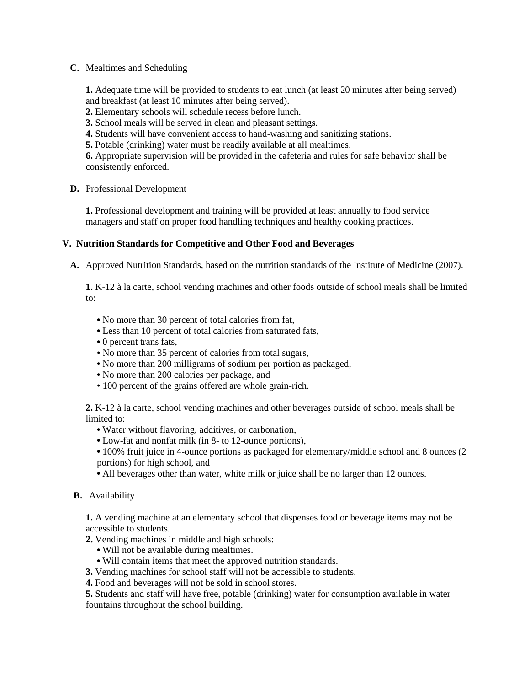### **C.** Mealtimes and Scheduling

**1.** Adequate time will be provided to students to eat lunch (at least 20 minutes after being served) and breakfast (at least 10 minutes after being served).

- **2.** Elementary schools will schedule recess before lunch.
- **3.** School meals will be served in clean and pleasant settings.
- **4.** Students will have convenient access to hand-washing and sanitizing stations.
- **5.** Potable (drinking) water must be readily available at all mealtimes.

**6.** Appropriate supervision will be provided in the cafeteria and rules for safe behavior shall be consistently enforced.

### **D.** Professional Development

**1.** Professional development and training will be provided at least annually to food service managers and staff on proper food handling techniques and healthy cooking practices.

### **V. Nutrition Standards for Competitive and Other Food and Beverages**

**A.** Approved Nutrition Standards, based on the nutrition standards of the Institute of Medicine (2007).

**1.** K-12 à la carte, school vending machines and other foods outside of school meals shall be limited to:

- No more than 30 percent of total calories from fat,
- Less than 10 percent of total calories from saturated fats,
- 0 percent trans fats,
- No more than 35 percent of calories from total sugars,
- No more than 200 milligrams of sodium per portion as packaged,
- No more than 200 calories per package, and
- 100 percent of the grains offered are whole grain-rich.

**2.** K-12 à la carte, school vending machines and other beverages outside of school meals shall be limited to:

- Water without flavoring, additives, or carbonation,
- Low-fat and nonfat milk (in 8- to 12-ounce portions),
- 100% fruit juice in 4-ounce portions as packaged for elementary/middle school and 8 ounces (2 portions) for high school, and
- All beverages other than water, white milk or juice shall be no larger than 12 ounces.

### **B.** Availability

**1.** A vending machine at an elementary school that dispenses food or beverage items may not be accessible to students.

- **2.** Vending machines in middle and high schools:
	- Will not be available during mealtimes.
	- Will contain items that meet the approved nutrition standards.
- **3.** Vending machines for school staff will not be accessible to students.
- **4.** Food and beverages will not be sold in school stores.

**5.** Students and staff will have free, potable (drinking) water for consumption available in water fountains throughout the school building.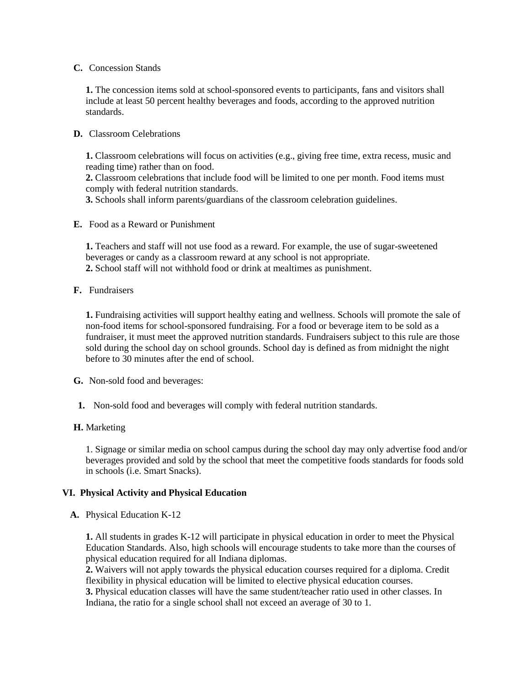#### **C.** Concession Stands

**1.** The concession items sold at school-sponsored events to participants, fans and visitors shall include at least 50 percent healthy beverages and foods, according to the approved nutrition standards.

### **D.** Classroom Celebrations

**1.** Classroom celebrations will focus on activities (e.g., giving free time, extra recess, music and reading time) rather than on food.

**2.** Classroom celebrations that include food will be limited to one per month. Food items must comply with federal nutrition standards.

**3.** Schools shall inform parents/guardians of the classroom celebration guidelines.

### **E.** Food as a Reward or Punishment

**1.** Teachers and staff will not use food as a reward. For example, the use of sugar-sweetened beverages or candy as a classroom reward at any school is not appropriate. **2.** School staff will not withhold food or drink at mealtimes as punishment.

**F.** Fundraisers

**1.** Fundraising activities will support healthy eating and wellness. Schools will promote the sale of non-food items for school-sponsored fundraising. For a food or beverage item to be sold as a fundraiser, it must meet the approved nutrition standards. Fundraisers subject to this rule are those sold during the school day on school grounds. School day is defined as from midnight the night before to 30 minutes after the end of school.

**G.** Non-sold food and beverages:

**1.** Non-sold food and beverages will comply with federal nutrition standards.

# **H.** Marketing

1. Signage or similar media on school campus during the school day may only advertise food and/or beverages provided and sold by the school that meet the competitive foods standards for foods sold in schools (i.e. Smart Snacks).

# **VI. Physical Activity and Physical Education**

### **A.** Physical Education K-12

**1.** All students in grades K-12 will participate in physical education in order to meet the Physical Education Standards. Also, high schools will encourage students to take more than the courses of physical education required for all Indiana diplomas.

**2.** Waivers will not apply towards the physical education courses required for a diploma. Credit flexibility in physical education will be limited to elective physical education courses.

**3.** Physical education classes will have the same student/teacher ratio used in other classes. In Indiana, the ratio for a single school shall not exceed an average of 30 to 1.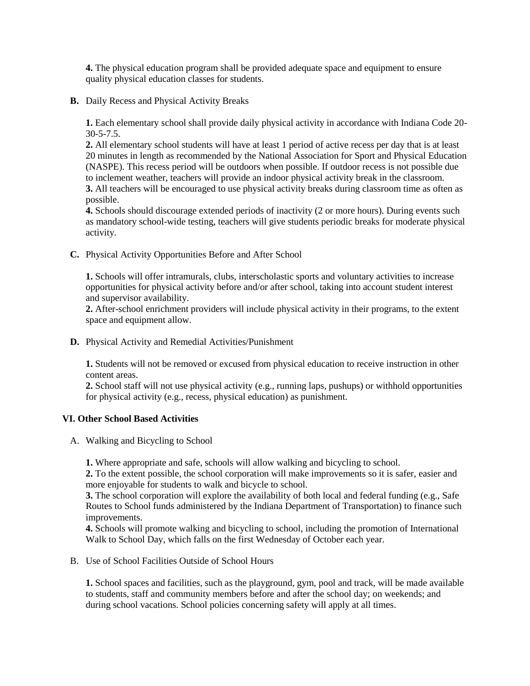**4.** The physical education program shall be provided adequate space and equipment to ensure quality physical education classes for students.

**B.** Daily Recess and Physical Activity Breaks

**1.** Each elementary school shall provide daily physical activity in accordance with Indiana Code 20- 30-5-7.5.

**2.** All elementary school students will have at least 1 period of active recess per day that is at least 20 minutes in length as recommended by the National Association for Sport and Physical Education (NASPE). This recess period will be outdoors when possible. If outdoor recess is not possible due to inclement weather, teachers will provide an indoor physical activity break in the classroom. **3.** All teachers will be encouraged to use physical activity breaks during classroom time as often as possible.

**4.** Schools should discourage extended periods of inactivity (2 or more hours). During events such as mandatory school-wide testing, teachers will give students periodic breaks for moderate physical activity.

**C.** Physical Activity Opportunities Before and After School

**1.** Schools will offer intramurals, clubs, interscholastic sports and voluntary activities to increase opportunities for physical activity before and/or after school, taking into account student interest and supervisor availability.

**2.** After-school enrichment providers will include physical activity in their programs, to the extent space and equipment allow.

**D.** Physical Activity and Remedial Activities/Punishment

**1.** Students will not be removed or excused from physical education to receive instruction in other content areas.

**2.** School staff will not use physical activity (e.g., running laps, pushups) or withhold opportunities for physical activity (e.g., recess, physical education) as punishment.

### **VI. Other School Based Activities**

A. Walking and Bicycling to School

**1.** Where appropriate and safe, schools will allow walking and bicycling to school.

**2.** To the extent possible, the school corporation will make improvements so it is safer, easier and more enjoyable for students to walk and bicycle to school.

**3.** The school corporation will explore the availability of both local and federal funding (e.g., Safe Routes to School funds administered by the Indiana Department of Transportation) to finance such improvements.

**4.** Schools will promote walking and bicycling to school, including the promotion of International Walk to School Day, which falls on the first Wednesday of October each year.

B. Use of School Facilities Outside of School Hours

**1.** School spaces and facilities, such as the playground, gym, pool and track, will be made available to students, staff and community members before and after the school day; on weekends; and during school vacations. School policies concerning safety will apply at all times.